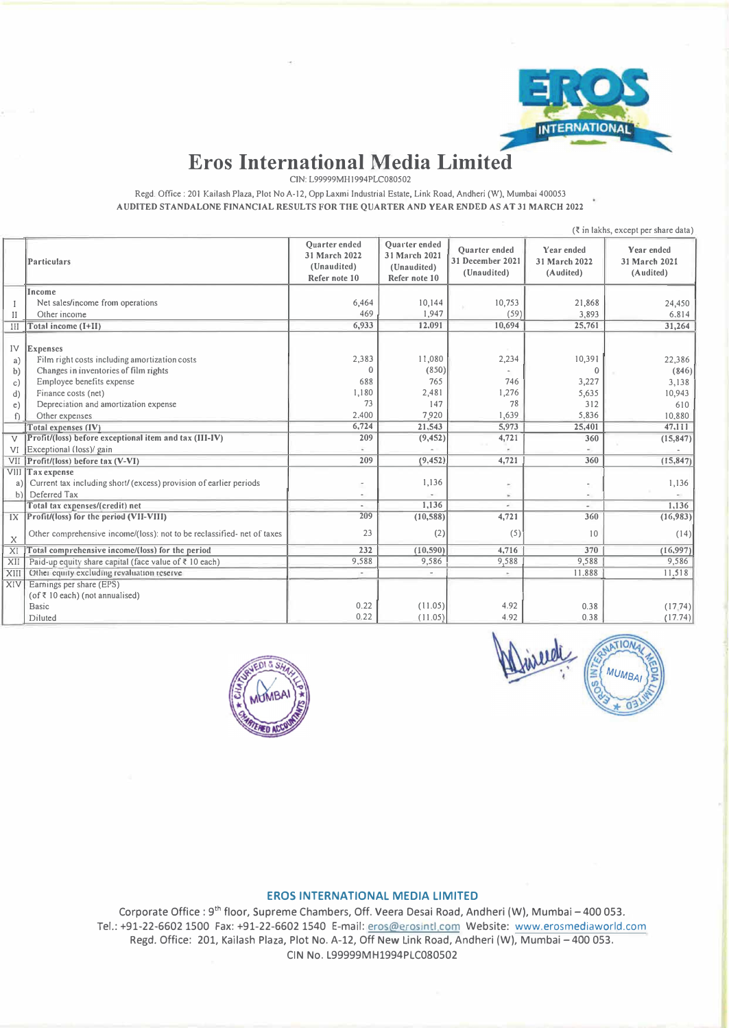

(� in lakhs, except per share data)

# **Eros International Media Limited**

CIN: L99999MH I 994PLC080502

Regd\_ Office: 201 Kailash Plaza, Plot No A-12, Opp Laxmi Industrial Estate, Link Road, Andheri **(W),** Mumbai 400053 **AUDITED STANDALONE FINANCIAL RESULTS FOR THE QUARTER AND YEAR ENDED AS AT 31 MARCH 2022** 

|                   |                                                                         |                                                                       |                                                                       |                                                         |                                                                      | (CIII TARIIS, CAUCPI PCI SHAIC GAIA)     |
|-------------------|-------------------------------------------------------------------------|-----------------------------------------------------------------------|-----------------------------------------------------------------------|---------------------------------------------------------|----------------------------------------------------------------------|------------------------------------------|
|                   | Particulars                                                             | <b>Quarter</b> ended<br>31 March 2022<br>(Unaudited)<br>Refer note 10 | <b>Ouarter</b> ended<br>31 March 2021<br>(Unaudited)<br>Refer note 10 | <b>Ouarter</b> ended<br>31 December 2021<br>(Unaudited) | Year ended<br>31 March 2022<br>(Audited)                             | Year ended<br>31 March 2021<br>(Audited) |
|                   | Income                                                                  |                                                                       |                                                                       |                                                         |                                                                      |                                          |
|                   | Net sales/income from operations                                        | 6,464                                                                 | 10,144                                                                | 10,753                                                  | 21,868                                                               | 24,450                                   |
| П                 | Other income                                                            | 469                                                                   | 1.947                                                                 | (59)                                                    | 3,893                                                                | 6,814                                    |
| III               | Total income (I+II)                                                     | 6,933                                                                 | 12,091                                                                | 10,694                                                  | 25,761                                                               | 31,264                                   |
|                   |                                                                         |                                                                       |                                                                       |                                                         |                                                                      |                                          |
| IV                | <b>Expenses</b>                                                         |                                                                       |                                                                       |                                                         |                                                                      |                                          |
| a)                | Film right costs including amortization costs                           | 2,383                                                                 | 11,080                                                                | 2,234                                                   | 10,391                                                               | 22,386                                   |
| b)                | Changes in inventories of film rights                                   | $\mathbf{0}$                                                          | (850)                                                                 |                                                         | $\mathbf{0}$                                                         | (846)                                    |
| c)                | Employee benefits expense                                               | 688                                                                   | 765                                                                   | 746                                                     | 3,227                                                                | 3,138                                    |
| d)                | Finance costs (net)                                                     | 1,180                                                                 | 2,481                                                                 | 1,276                                                   | 5,635                                                                | 10,943                                   |
| e)                | Depreciation and amortization expense                                   | 73                                                                    | 147                                                                   | 78                                                      | 312                                                                  | 610                                      |
| f)                | Other expenses                                                          | 2.400                                                                 | 7,920                                                                 | 1,639                                                   | 5,836                                                                | 10,880                                   |
|                   | Total expenses (IV)                                                     | 6,724                                                                 | 21,543                                                                | 5,973                                                   | 25,401                                                               | 47,111                                   |
| $\vee$            | Profit/(loss) before exceptional item and tax (III-IV)                  | 209                                                                   | (9, 452)                                                              | 4,721                                                   | 360                                                                  | (15, 847)                                |
| VI                | Exceptional (loss)/ gain                                                |                                                                       |                                                                       |                                                         |                                                                      |                                          |
|                   | VII Profit/(loss) before tax (V-VI)                                     | 209                                                                   | (9.452)                                                               | 4,721                                                   | 360                                                                  | (15, 847)                                |
|                   | $VIII$ Tax expense                                                      |                                                                       |                                                                       |                                                         |                                                                      |                                          |
|                   | Current tax including short/ (excess) provision of earlier periods      | $\overline{\phantom{m}}$                                              | 1,136                                                                 | $\overline{\phantom{a}}$                                |                                                                      | 1,136                                    |
| $\vert h \rangle$ | Deferred Tax                                                            |                                                                       |                                                                       | $\mathbf{u}$                                            |                                                                      |                                          |
|                   | Total tax expenses/(credit) net                                         | ÷.                                                                    | 1,136                                                                 |                                                         | $\hskip1.6pt\hskip1.6pt\hskip1.6pt\hskip1.6pt\hskip1.6pt\hskip1.6pt$ | 1,136                                    |
|                   | $IX$ Profit/(loss) for the period (VII-VIII)                            | 209                                                                   | (10, 588)                                                             | 4,721                                                   | 360                                                                  | (16,983)                                 |
| X                 | Other comprehensive income/(loss): not to be reclassified- net of taxes | 23                                                                    | (2)                                                                   | (5)                                                     | 10                                                                   | (14)                                     |
| XI                | Total comprehensive income/(loss) for the period                        | 232                                                                   | (10, 590)                                                             | 4,716                                                   | 370                                                                  | (16,997)                                 |
| XII               | Paid-up equity share capital (face value of ₹ 10 each)                  | 9,588                                                                 | 9,586                                                                 | 9,588                                                   | 9,588                                                                | 9,586                                    |
| XIII              | Other equity excluding revaluation reserve                              | $\sim$                                                                | $\sim$                                                                | $\sim$                                                  | 11,888                                                               | 11,518                                   |
| XIV               | Earnings per share (EPS)                                                |                                                                       |                                                                       |                                                         |                                                                      |                                          |
|                   | (of ₹ 10 each) (not annualised)                                         |                                                                       |                                                                       |                                                         |                                                                      |                                          |
|                   | <b>Basic</b>                                                            | 0.22                                                                  | (11.05)                                                               | 4.92                                                    | 0.38                                                                 | (17.74)                                  |
|                   | Diluted                                                                 | 0.22                                                                  | (11.05)                                                               | 4.92                                                    | 0.38                                                                 | (17.74)                                  |





#### **EROS INTERNATIONAL MEDIA LIMITED**

Corporate Office : 9<sup>th</sup> floor, Supreme Chambers, Off. Veera Desai Road, Andheri (W), Mumbai - 400 053. Tel.: +91-22-6602 1500 Fax: +91-22-6602 1540 E-mail: eros@erosintl com Website: www.erosmediaworld.com Regd. Office: 201, Kailash Plaza, Plot No. A-12, Off New Link Road, Andheri (W), Mumbai - 400 053. CIN No. L99999MH1994PLC080502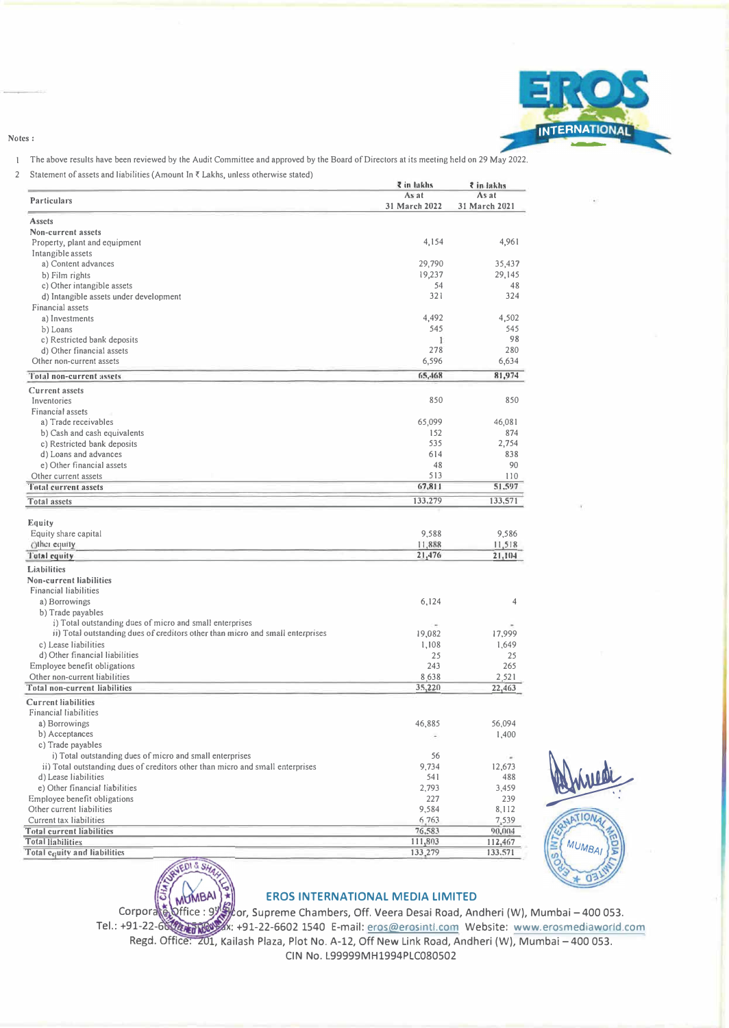

#### **Notes:**

1 The above results have been reviewed by the Audit Committee and approved by the Board of Directors at its meeting held on 29 May 2022.

2 Statement of assets and liabilities (Amount In ₹ Lakhs, unless otherwise stated)

| STATCHICHE OF ASSUES AND HADITITIUS (ATHOUNT IN CLANIS, UNIUSS OTHERWISE STATUT<br><b>Particulars</b> | ₹ in lakhs<br>As at<br>31 March 2022 | <b><i><i>z</i></i></b> in lakhs<br>As at<br>31 March 2021 |
|-------------------------------------------------------------------------------------------------------|--------------------------------------|-----------------------------------------------------------|
| Assets                                                                                                |                                      |                                                           |
| Non-current assets                                                                                    |                                      |                                                           |
| Property, plant and equipment                                                                         | 4,154                                | 4,961                                                     |
| Intangible assets                                                                                     |                                      |                                                           |
| a) Content advances                                                                                   | 29,790                               | 35,437                                                    |
| b) Film rights                                                                                        | 19,237                               | 29,145                                                    |
| c) Other intangible assets                                                                            | 54                                   | 48                                                        |
| d) Intangible assets under development                                                                | 321                                  | 324                                                       |
| Financial assets                                                                                      |                                      |                                                           |
| a) Investments                                                                                        | 4,492<br>545                         | 4,502                                                     |
| b) Loans                                                                                              | ľ                                    | 545<br>98                                                 |
| c) Restricted bank deposits                                                                           | 278                                  | 280                                                       |
| d) Other financial assets<br>Other non-current assets                                                 | 6,596                                | 6,634                                                     |
|                                                                                                       |                                      |                                                           |
| Total non-current assets                                                                              | 65,468                               | 81,974                                                    |
| Current assets                                                                                        |                                      |                                                           |
| Inventories                                                                                           | 850                                  | 850                                                       |
| Financial assets                                                                                      |                                      |                                                           |
| a) Trade receivables                                                                                  | 65,099                               | 46,081                                                    |
| b) Cash and cash equivalents                                                                          | 152                                  | 874                                                       |
| c) Restricted bank deposits                                                                           | 535<br>614                           | 2,754                                                     |
| d) Loans and advances                                                                                 | 48                                   | 838<br>90                                                 |
| e) Other financial assets                                                                             | 513                                  | 110                                                       |
| Other current assets<br>Total current assets                                                          | 67,811                               | 51,597                                                    |
|                                                                                                       | 133,279                              |                                                           |
| <b>Total assets</b>                                                                                   |                                      | 133,571                                                   |
| Equity                                                                                                |                                      |                                                           |
| Equity share capital                                                                                  | 9,588                                | 9,586                                                     |
| Other equity                                                                                          | 11,888                               | 11,518                                                    |
| Total equity                                                                                          | 21,476                               | 21,104                                                    |
| <b>Liabilities</b>                                                                                    |                                      |                                                           |
| <b>Non-current liabilities</b>                                                                        |                                      |                                                           |
| <b>Financial liabilities</b>                                                                          |                                      |                                                           |
| a) Borrowings                                                                                         | 6,124                                | 4                                                         |
| b) Trade payables                                                                                     |                                      |                                                           |
| i) Total outstanding dues of micro and small enterprises                                              |                                      |                                                           |
| ii) Total outstanding dues of creditors other than micro and small enterprises                        | 19,082                               | 17,999                                                    |
| c) Lease liabilities                                                                                  | 1,108                                | 1,649                                                     |
| d) Other financial liabilities                                                                        | 25                                   | 25                                                        |
| Employee benefit obligations<br>Other non-current liabilities                                         | 243                                  | 265                                                       |
| Total non-current liabilities                                                                         | 8,638<br>35,220                      | 2,521<br>22,463                                           |
| <b>Current liabilities</b>                                                                            |                                      |                                                           |
| Financial liabilities                                                                                 |                                      |                                                           |
| a) Borrowings                                                                                         | 46,885                               | 56,094                                                    |
| b) Acceptances                                                                                        |                                      | 1,400                                                     |
| c) Trade payables                                                                                     |                                      |                                                           |
| i) Total outstanding dues of micro and small enterprises                                              | 56                                   |                                                           |
| ii) Total outstanding dues of creditors other than micro and small enterprises                        | 9,734                                | 12,673                                                    |
| d) Lease liabilities                                                                                  | 541                                  | 488                                                       |
| e) Other financial liabilities                                                                        | 2,793                                | 3,459                                                     |
| Employee benefit obligations                                                                          | 227                                  | 239                                                       |
| Other current liabilities                                                                             | 9,584                                | 8,112                                                     |
| Current tax liabilities                                                                               | 6,763                                | 7,539                                                     |
| <b>Total current liabilities</b>                                                                      | 76,583                               | 90,004                                                    |
| <b>Total liabilities</b>                                                                              | 111,803                              | 112,467                                                   |
| Total equity and liabilities                                                                          | 133,279                              | 133,571                                                   |

**MUMBAI** 



#### **EROS INTERNATIONAL MEDIA LIMITED**

Corpora<sup>6</sup> Office: 9 Tel.: +91-22-660<sub>2</sub> 2x: +91-22-6602 1540 E-mail: eros@erosintl.com Website: www.erosmediaworld.com or, Supreme Chambers, Off. Veera Desai Road, Andheri (W), Mumbai -400 053. Regd. Office: 201, Kailash Plaza, Plot No. A-12, Off New Link Road, Andheri (W), Mumbai -400 053. CIN No. L99999MH1994PLC080502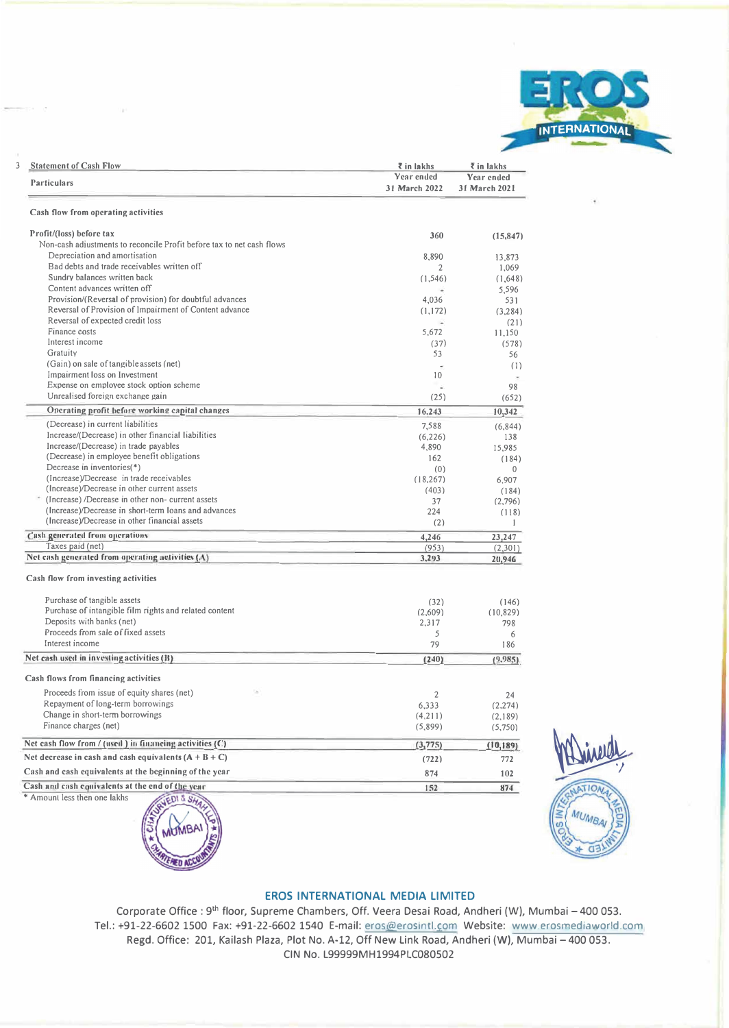

| <b>Statement of Cash Flow</b>                                            | ₹ in lakhs                  | ₹ in lakhs                  |                  |
|--------------------------------------------------------------------------|-----------------------------|-----------------------------|------------------|
| <b>Particulars</b>                                                       | Year ended<br>31 March 2022 | Year ended<br>31 March 2021 |                  |
| Cash flow from operating activities                                      |                             |                             |                  |
| Profit/(loss) before tax                                                 | 360                         | (15, 847)                   |                  |
| Non-cash adjustments to reconcile Profit before tax to net cash flows    |                             |                             |                  |
| Depreciation and amortisation                                            | 8,890                       | 13,873                      |                  |
| Bad debts and trade receivables written off                              | 2                           | 1,069                       |                  |
| Sundry balances written back                                             | (1, 546)                    | (1,648)                     |                  |
| Content advances written off                                             |                             | 5,596                       |                  |
| Provision/(Reversal of provision) for doubtful advances                  | 4,036                       | 531                         |                  |
| Reversal of Provision of Impairment of Content advance                   | (1, 172)                    | (3, 284)                    |                  |
| Reversal of expected credit loss                                         | $\omega$                    | (21)                        |                  |
| Finance costs                                                            | 5,672                       | 11,150                      |                  |
| Interest income<br>Gratuity                                              | (37)                        | (578)                       |                  |
| (Gain) on sale of tangible assets (net)                                  | 53                          | 56                          |                  |
| Impairment loss on Investment                                            | 10                          | (1)                         |                  |
| Expense on employee stock option scheme                                  |                             | 98                          |                  |
| Unrealised foreign exchange gain                                         | (25)                        | (652)                       |                  |
| Operating profit before working capital changes                          |                             |                             |                  |
|                                                                          | 16,243                      | 10,342                      |                  |
| (Decrease) in current liabilities                                        | 7,588                       | (6,844)                     |                  |
| Increase/(Decrease) in other financial liabilities                       | (6, 226)                    | 138                         |                  |
| Increase/(Decrease) in trade payables                                    | 4,890                       | 15,985                      |                  |
| (Decrease) in employee benefit obligations<br>Decrease in inventories(*) | 162                         | (184)                       |                  |
| (Increase)/Decrease in trade receivables                                 | (0)                         | $\mathbf{0}$                |                  |
| (Increase)/Decrease in other current assets                              | (18, 267)                   | 6,907                       |                  |
| (Increase) /Decrease in other non- current assets                        | (403)<br>37                 | (184)<br>(2,796)            |                  |
| (Increase)/Decrease in short-term loans and advances                     | 224                         | (118)                       |                  |
| (Increase)/Decrease in other financial assets                            | (2)                         | $\mathbf{1}$                |                  |
| Cash generated from operations                                           | 4,246                       | 23,247                      |                  |
| Taxes paid (net)                                                         | (953)                       | (2,301)                     |                  |
| Net cash generated from operating activities (A)                         | 3,293                       | 20,946                      |                  |
| Cash flow from investing activities                                      |                             |                             |                  |
| Purchase of tangible assets                                              | (32)                        | (146)                       |                  |
| Purchase of intangible film rights and related content                   | (2,609)                     | (10, 829)                   |                  |
| Deposits with banks (net)                                                | 2,317                       | 798                         |                  |
| Proceeds from sale of fixed assets                                       | 5                           | 6                           |                  |
| Interest income                                                          | 79                          | 186                         |                  |
| Net cash used in investing activities (B)                                | (240)                       | (9,985)                     |                  |
| Cash flows from financing activities                                     |                             |                             |                  |
| Proceeds from issue of equity shares (net)                               | $\mathbf{2}$                | 24                          |                  |
| Repayment of long-term borrowings                                        | 6,333                       | (2,274)                     |                  |
| Change in short-term borrowings                                          | (4,211)                     | (2,189)                     |                  |
| Finance charges (net)                                                    | (5,899)                     | (5,750)                     |                  |
| Net cash flow from $/$ (used ) in financing activities $(C)$             | (3, 775)                    | (10, 189)                   |                  |
| Net decrease in cash and cash equivalents $(A + B + C)$                  | (722)                       | 772                         |                  |
| Cash and cash equivalents at the beginning of the year                   | 874                         | 102                         |                  |
| Cash and cash of uivalents at the end of the year                        | 152                         | 874                         |                  |
| * Amount less then one lakhs<br><b>IEDI</b> & SH                         |                             |                             |                  |
|                                                                          |                             |                             | $\boldsymbol{v}$ |

ED .



#### **EROS INTERNATIONAL MEDIA LIMITED**

Corporate Office : 9<sup>th</sup> floor, Supreme Chambers, Off. Veera Desai Road, Andheri (W), Mumbai – 400 053. Tel.: +91-22-6602 1500 Fax: +91-22-6602 1540 E-mail: eros@erosintl.com Website: www.erosmediaworld.com Regd. Office: 201, Kailash Plaza, Plot No. A-12, Off New Link Road, Andheri (W), Mumbai - 400 053. CIN No. L99999MH1994PLC080502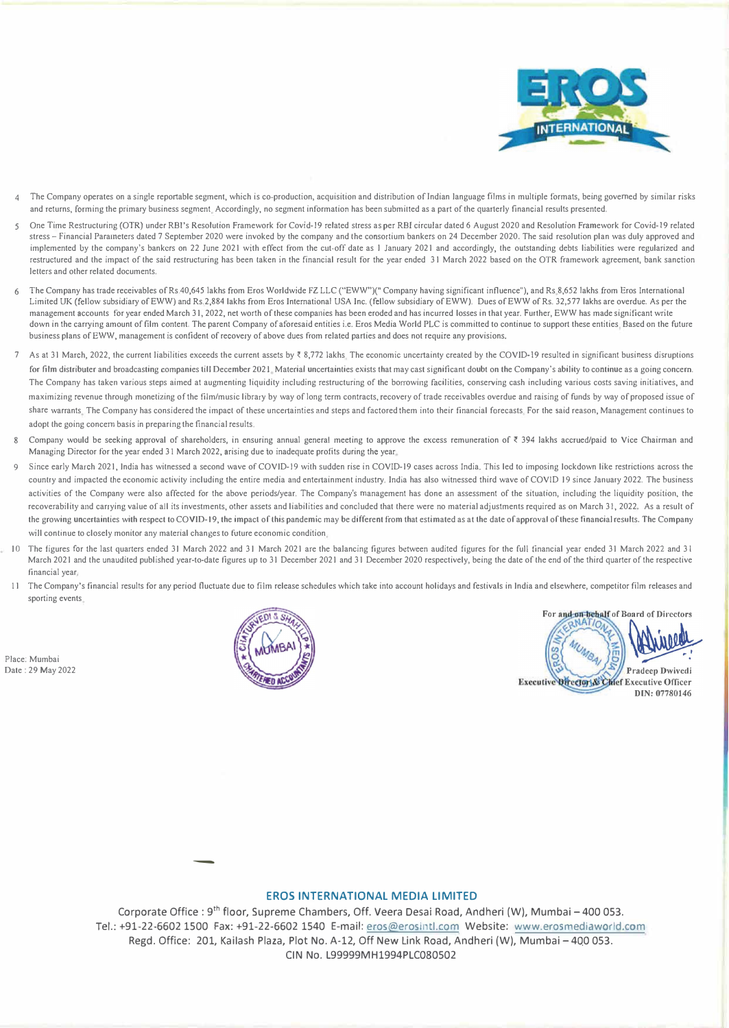

- 4 The Company operates on a single reportable segment, which is co-production, acquisition and distribution oflndian language films in multiple formats, being governed by similar risks and returns, forming the primary business segment. Accordingly, no segment information has been submitted as a part of the quarterly financial results presented.
- 5 One Time Restructuring (OTR) under RB l's Resolution Framework for Covid-19 related stress as per RBI circular dated 6 August 2020 and Resolution Framework for Covid-19 related stress - Financial Parameters dated 7 September 2020 were invoked by the company and the consortium bankers on 24 December 2020. The said resolution plan was duly approved and implemented by the company's bankers on 22 June 2021 with effect from the cut-off date as l January 2021 and accordingly, the outstanding debts liabilities were regularized and restructured and the impact of the said restructuring has been taken in the financial result for the year ended 31 March 2022 based on the OTR framework agreement, bank sanction letters and other related documents,
- The Company has trade receivables of Rs.40,645 lakhs from Eros Worldwide FZ LLC ("EWW")(" Company having significant influence"), and Rs 8,652 lakhs from Eros International Limited UK (fellow subsidiary ofEWW) and Rs.2,884 lakhs from Eros International USA Inc. (fellow subsidiary ofEWW). Dues ofEWW of Rs. 32,577 lakhs are overdue. As per the management accounts for year ended March 31, 2022, net worth of these companies has been eroded and has incurred losses in that year. Further, EWW has made significant write down in the carrying amount of film content. The parent Company of aforesaid entities i.e. Eros Media World PLC is committed to continue to support these entities. Based on the future business plans ofEWW, management is confident of recovery of above dues from related parties and does not require any provisions.
- As at 31 March, 2022, the current liabilities exceeds the current assets by  $\bar{\tau}$  8,772 lakhs. The economic uncertainty created by the COVID-19 resulted in significant business disruptions for film distributer and broadcasting companies till December 2021. Material uncertainties exists that may cast significant doubt on the Company's ability to continue as a going concern. The Company has taken various steps aimed at augmenting liquidity including restructuring of the borrowing facilities, conserving cash including various costs saving initiatives, and maximizing revenue through monetizing of the film/music library by way of long term contracts, recovery of trade receivables overdue and raising of funds by way of proposed issue of share warrants. The Company has considered the impact of these uncertainties and steps and factored them into their financial forecasts. For the said reason, Management continues to adopt the going concern basis in preparing the financial results.
- Company would be seeking approval of shareholders, in ensuring annual general meeting to approve the excess remuneration of  $\bar{\epsilon}$  394 lakhs accrued/paid to Vice Chairman and Managing Director for the year ended 31 March 2022, arising due to inadequate profits during the year
- 9 Since early March 2021, India has witnessed a second wave of COVID-19 with sudden rise in COVID-19 cases across India. This led to imposing Iockdown like restrictions across the country and impacted the economic activity including the entire media and entertainment industry. India has also witnessed third wave of COVID I 9 since January 2022. The business activities of the Company were also affected for the above periods/year. The Company's management has done an assessment of the situation, including the liquidity position, the recoverability and carrying value of all its investments, other assets and liabilities and concluded that there were no material adjustments required as on March 31, 2022. As a result of the growing uncertainties with respect to COVID-19, the impact of this pandemic may be different from that estimated as at the date of approval of these financial results, The Company will continue to closely monitor any material changes to future economic condition
- 10 The figures for the last quarters ended 31 March 2022 and 31 March 2021 are the balancing figures between audited figures for the full financial year ended 31 March 2022 and 31 March 2021 and the unaudited published year-to-date figures up to 31 December 2021 and 31 December 2020 respectively, being the date of the end of the third quarter of the respective financial year,
- 11 The Company's financial results for any period fluctuate due to film release schedules which take into account holidays and festivals in India and elsewhere, competitor film releases and sporting events

Place: Mumbai Date : 29 May 2022



-

For and on behalf of Board of Directors MUMB

Pradeep Dwivedi Executive Director & Chief Executive Officer DIN: 07780146

#### **EROS INTERNATIONAL MEDIA LIMITED**

Corporate Office : 9<sup>th</sup> floor, Supreme Chambers, Off. Veera Desai Road, Andheri (W), Mumbai - 400 053. Tel.: +91-22-6602 1500 Fax: +91-22-6602 1540 E-mail: eros@erosintl.com Website: www.erosmediaworld.com Regd. Office: 201, Kailash Plaza, Plot No. A-12, Off New Link Road, Andheri (W), Mumbai - 400 053. **CIN No.** L99999MH1994PLC080502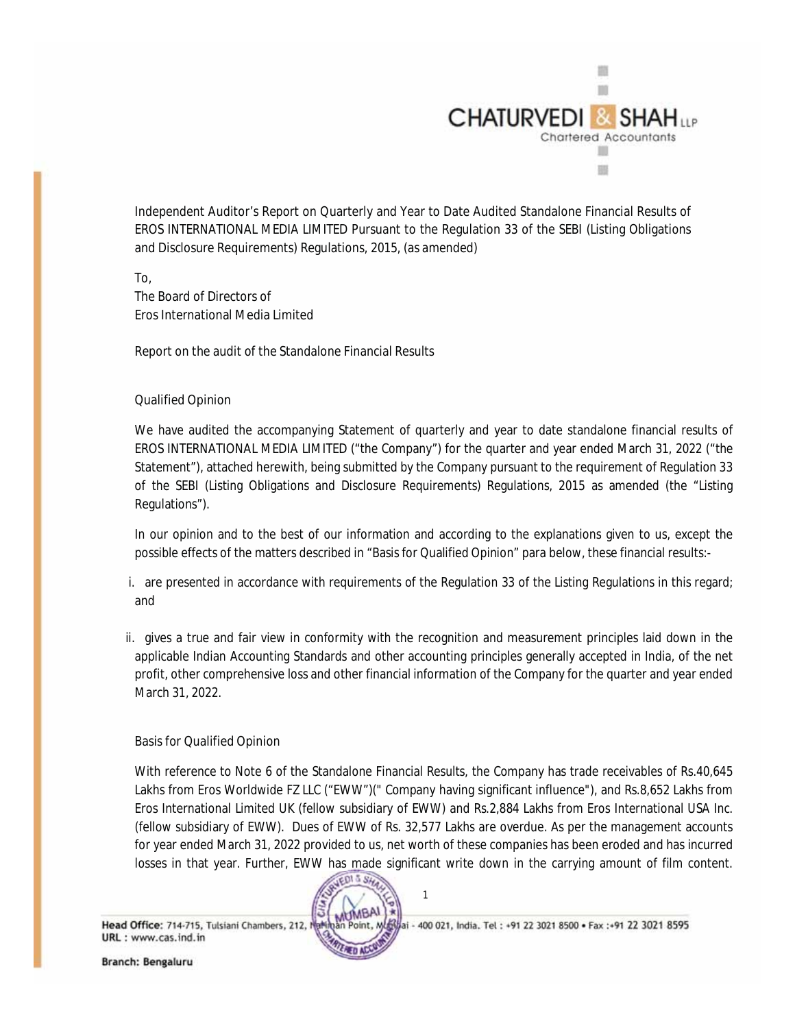

Independent Auditor's Report on Quarterly and Year to Date Audited Standalone Financial Results of EROS INTERNATIONAL MEDIA LIMITED Pursuant to the Regulation 33 of the SEBI (Listing Obligations and Disclosure Requirements) Regulations, 2015, (as amended)

To, The Board of Directors of Eros International Media Limited

#### Report on the audit of the Standalone Financial Results

#### Qualified Opinion

We have audited the accompanying Statement of quarterly and year to date standalone financial results of EROS INTERNATIONAL MEDIA LIMITED ("the Company") for the quarter and year ended March 31, 2022 ("the Statement"), attached herewith, being submitted by the Company pursuant to the requirement of Regulation 33 of the SEBI (Listing Obligations and Disclosure Requirements) Regulations, 2015 as amended (the "Listing Regulations").

In our opinion and to the best of our information and according to the explanations given to us, except the possible effects of the matters described in "Basis for Qualified Opinion" para below, these financial results:-

- i. are presented in accordance with requirements of the Regulation 33 of the Listing Regulations in this regard; and
- ii. gives a true and fair view in conformity with the recognition and measurement principles laid down in the applicable Indian Accounting Standards and other accounting principles generally accepted in India, of the net profit, other comprehensive loss and other financial information of the Company for the quarter and year ended March 31, 2022.

## Basis for Qualified Opinion

With reference to Note 6 of the Standalone Financial Results, the Company has trade receivables of Rs.40,645 Lakhs from Eros Worldwide FZ LLC ("EWW")(" Company having significant influence"), and Rs.8,652 Lakhs from Eros International Limited UK (fellow subsidiary of EWW) and Rs.2,884 Lakhs from Eros International USA Inc. (fellow subsidiary of EWW). Dues of EWW of Rs. 32,577 Lakhs are overdue. As per the management accounts for year ended March 31, 2022 provided to us, net worth of these companies has been eroded and has incurred losses in that year. Further, EWW has made significant write down in the carrying amount of film content.

1

Head Office: 714-715, Tulsiani Chambers, 212, URL: www.cas.ind.in

Branch: Bengaluru



aí - 400 021, India. Tel: +91 22 3021 8500 · Fax:+91 22 3021 8595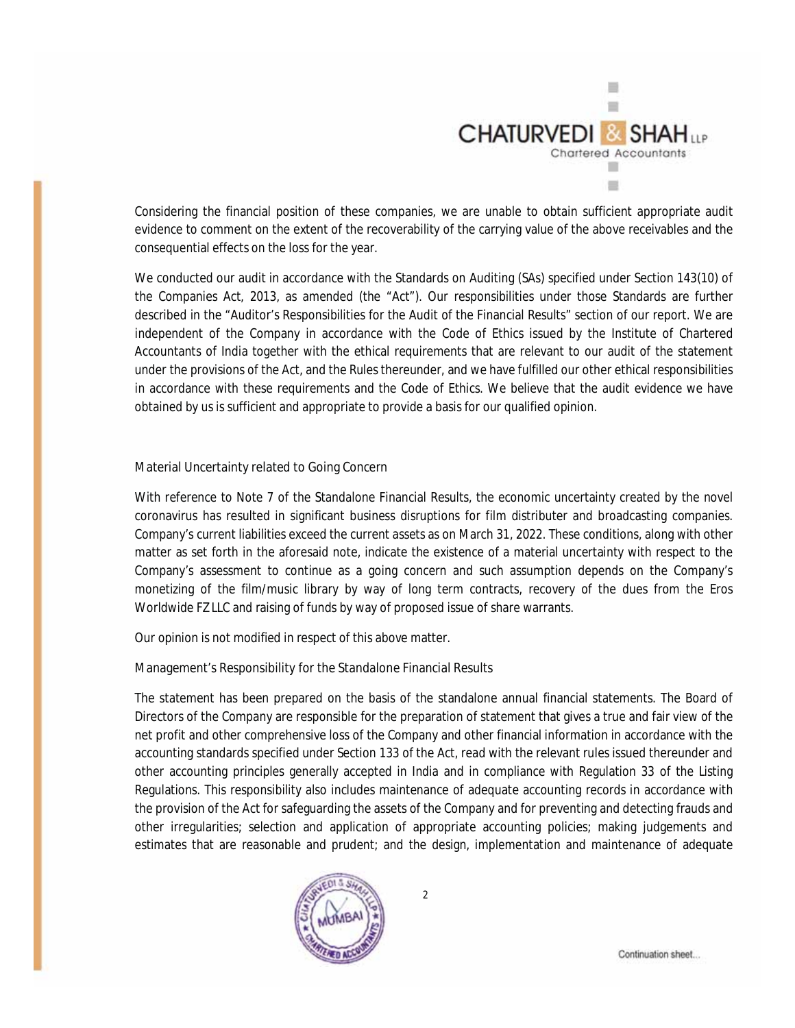E  $\equiv$ **CHATURVEDI & SHAH LLP** Chartered Accountants  $\blacksquare$  $\equiv$ 

Considering the financial position of these companies, we are unable to obtain sufficient appropriate audit evidence to comment on the extent of the recoverability of the carrying value of the above receivables and the consequential effects on the loss for the year.

We conducted our audit in accordance with the Standards on Auditing (SAs) specified under Section 143(10) of the Companies Act, 2013, as amended (the "Act"). Our responsibilities under those Standards are further described in the "Auditor's Responsibilities for the Audit of the Financial Results" section of our report. We are independent of the Company in accordance with the Code of Ethics issued by the Institute of Chartered Accountants of India together with the ethical requirements that are relevant to our audit of the statement under the provisions of the Act, and the Rules thereunder, and we have fulfilled our other ethical responsibilities in accordance with these requirements and the Code of Ethics. We believe that the audit evidence we have obtained by us is sufficient and appropriate to provide a basis for our qualified opinion.

#### Material Uncertainty related to Going Concern

With reference to Note 7 of the Standalone Financial Results, the economic uncertainty created by the novel coronavirus has resulted in significant business disruptions for film distributer and broadcasting companies. Company's current liabilities exceed the current assets as on March 31, 2022. These conditions, along with other matter as set forth in the aforesaid note, indicate the existence of a material uncertainty with respect to the Company's assessment to continue as a going concern and such assumption depends on the Company's monetizing of the film/music library by way of long term contracts, recovery of the dues from the Eros Worldwide FZ LLC and raising of funds by way of proposed issue of share warrants.

Our opinion is not modified in respect of this above matter.

## Management's Responsibility for the Standalone Financial Results

The statement has been prepared on the basis of the standalone annual financial statements. The Board of Directors of the Company are responsible for the preparation of statement that gives a true and fair view of the net profit and other comprehensive loss of the Company and other financial information in accordance with the accounting standards specified under Section 133 of the Act, read with the relevant rules issued thereunder and other accounting principles generally accepted in India and in compliance with Regulation 33 of the Listing Regulations. This responsibility also includes maintenance of adequate accounting records in accordance with the provision of the Act for safeguarding the assets of the Company and for preventing and detecting frauds and other irregularities; selection and application of appropriate accounting policies; making judgements and estimates that are reasonable and prudent; and the design, implementation and maintenance of adequate



2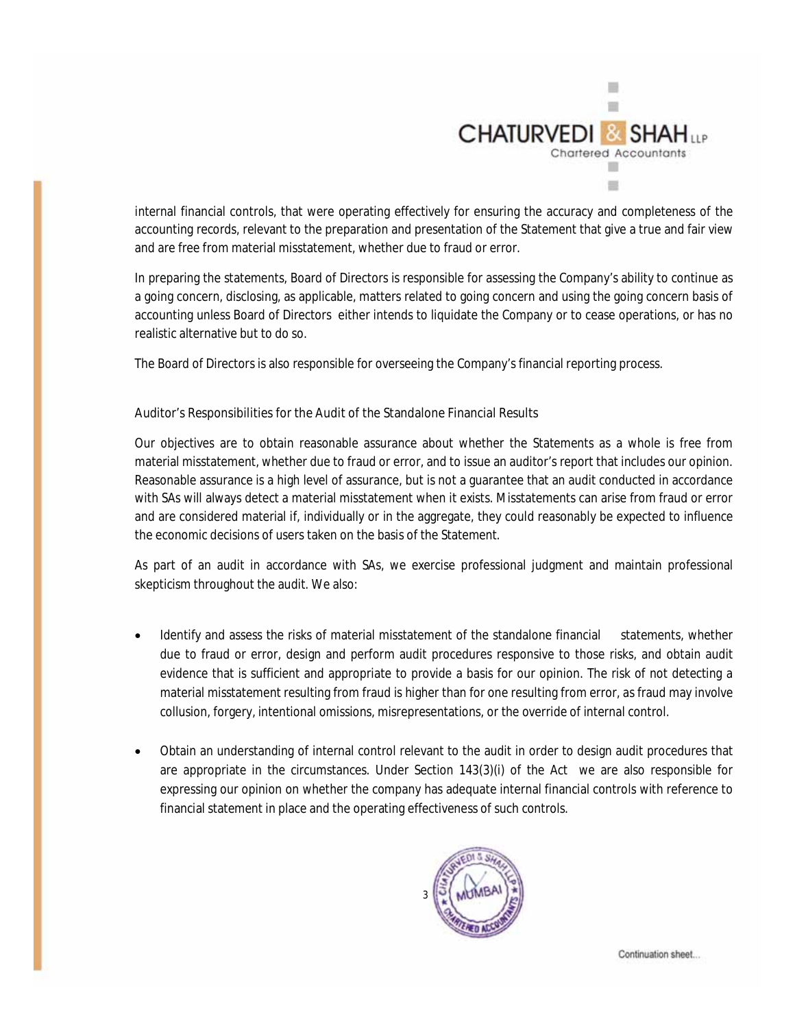

internal financial controls, that were operating effectively for ensuring the accuracy and completeness of the accounting records, relevant to the preparation and presentation of the Statement that give a true and fair view and are free from material misstatement, whether due to fraud or error.

In preparing the statements, Board of Directors is responsible for assessing the Company's ability to continue as a going concern, disclosing, as applicable, matters related to going concern and using the going concern basis of accounting unless Board of Directors either intends to liquidate the Company or to cease operations, or has no realistic alternative but to do so.

The Board of Directors is also responsible for overseeing the Company's financial reporting process.

#### Auditor's Responsibilities for the Audit of the Standalone Financial Results

Our objectives are to obtain reasonable assurance about whether the Statements as a whole is free from material misstatement, whether due to fraud or error, and to issue an auditor's report that includes our opinion. Reasonable assurance is a high level of assurance, but is not a guarantee that an audit conducted in accordance with SAs will always detect a material misstatement when it exists. Misstatements can arise from fraud or error and are considered material if, individually or in the aggregate, they could reasonably be expected to influence the economic decisions of users taken on the basis of the Statement.

As part of an audit in accordance with SAs, we exercise professional judgment and maintain professional skepticism throughout the audit. We also:

- Identify and assess the risks of material misstatement of the standalone financial statements, whether due to fraud or error, design and perform audit procedures responsive to those risks, and obtain audit evidence that is sufficient and appropriate to provide a basis for our opinion. The risk of not detecting a material misstatement resulting from fraud is higher than for one resulting from error, as fraud may involve collusion, forgery, intentional omissions, misrepresentations, or the override of internal control.
- Obtain an understanding of internal control relevant to the audit in order to design audit procedures that are appropriate in the circumstances. Under Section 143(3)(i) of the Act we are also responsible for expressing our opinion on whether the company has adequate internal financial controls with reference to financial statement in place and the operating effectiveness of such controls.

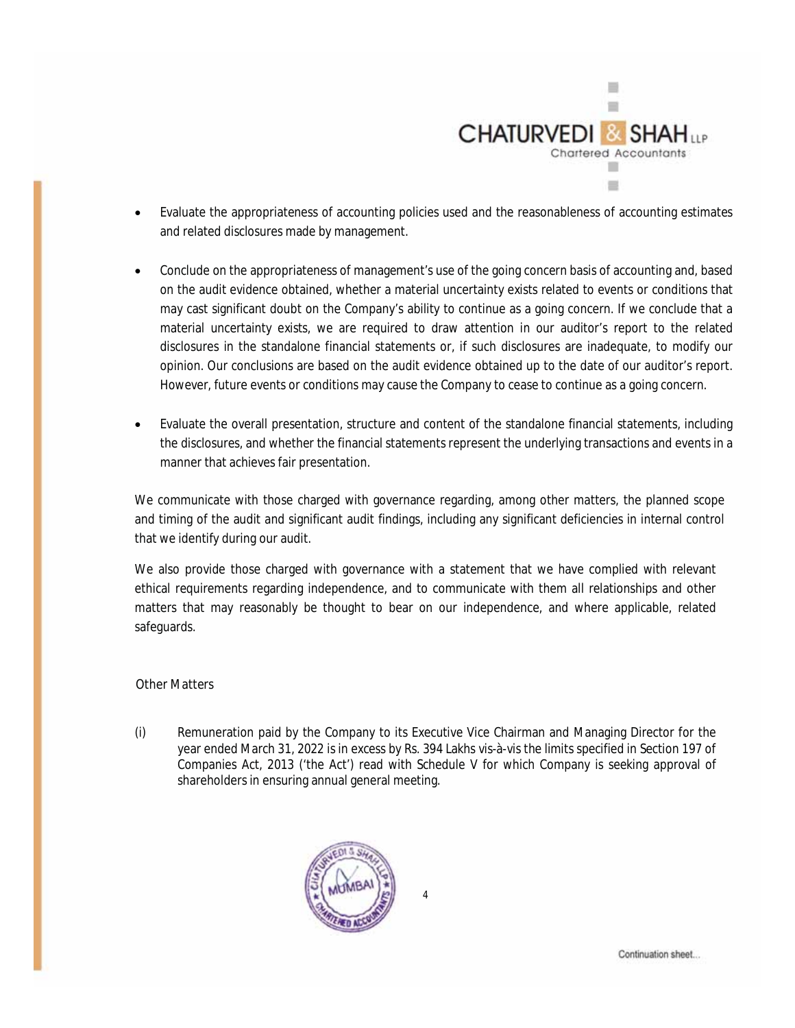

- Evaluate the appropriateness of accounting policies used and the reasonableness of accounting estimates and related disclosures made by management.
- Conclude on the appropriateness of management's use of the going concern basis of accounting and, based on the audit evidence obtained, whether a material uncertainty exists related to events or conditions that may cast significant doubt on the Company's ability to continue as a going concern. If we conclude that a material uncertainty exists, we are required to draw attention in our auditor's report to the related disclosures in the standalone financial statements or, if such disclosures are inadequate, to modify our opinion. Our conclusions are based on the audit evidence obtained up to the date of our auditor's report. However, future events or conditions may cause the Company to cease to continue as a going concern.
- Evaluate the overall presentation, structure and content of the standalone financial statements, including the disclosures, and whether the financial statements represent the underlying transactions and events in a manner that achieves fair presentation.

We communicate with those charged with governance regarding, among other matters, the planned scope and timing of the audit and significant audit findings, including any significant deficiencies in internal control that we identify during our audit.

We also provide those charged with governance with a statement that we have complied with relevant ethical requirements regarding independence, and to communicate with them all relationships and other matters that may reasonably be thought to bear on our independence, and where applicable, related safeguards.

## Other Matters

(i) Remuneration paid by the Company to its Executive Vice Chairman and Managing Director for the year ended March 31, 2022 is in excess by Rs. 394 Lakhs vis-à-vis the limits specified in Section 197 of Companies Act, 2013 ('the Act') read with Schedule V for which Company is seeking approval of shareholders in ensuring annual general meeting.

4



Continuation sheet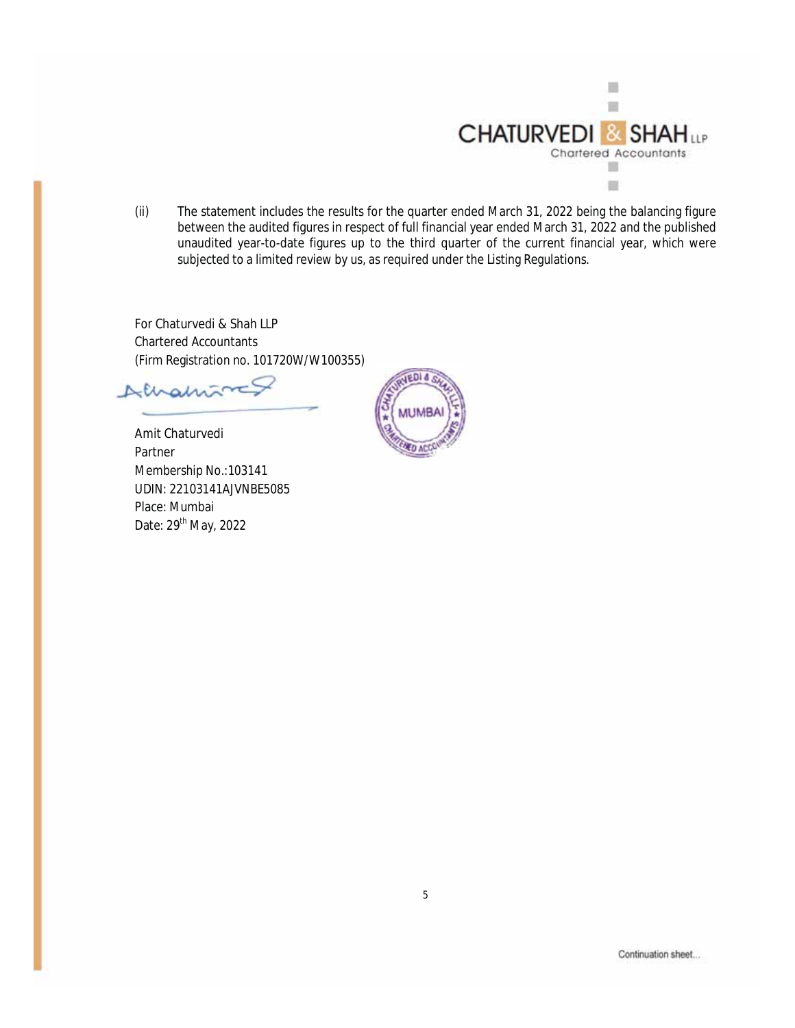

(ii) The statement includes the results for the quarter ended March 31, 2022 being the balancing figure between the audited figures in respect of full financial year ended March 31, 2022 and the published unaudited year-to-date figures up to the third quarter of the current financial year, which were subjected to a limited review by us, as required under the Listing Regulations.

## For Chaturvedi & Shah LLP Chartered Accountants (Firm Registration no. 101720W/W100355)

Albamã

Amit Chaturvedi Partner Membership No.:103141 UDIN: 22103141AJVNBE5085 Place: Mumbai Date: 29<sup>th</sup> May, 2022

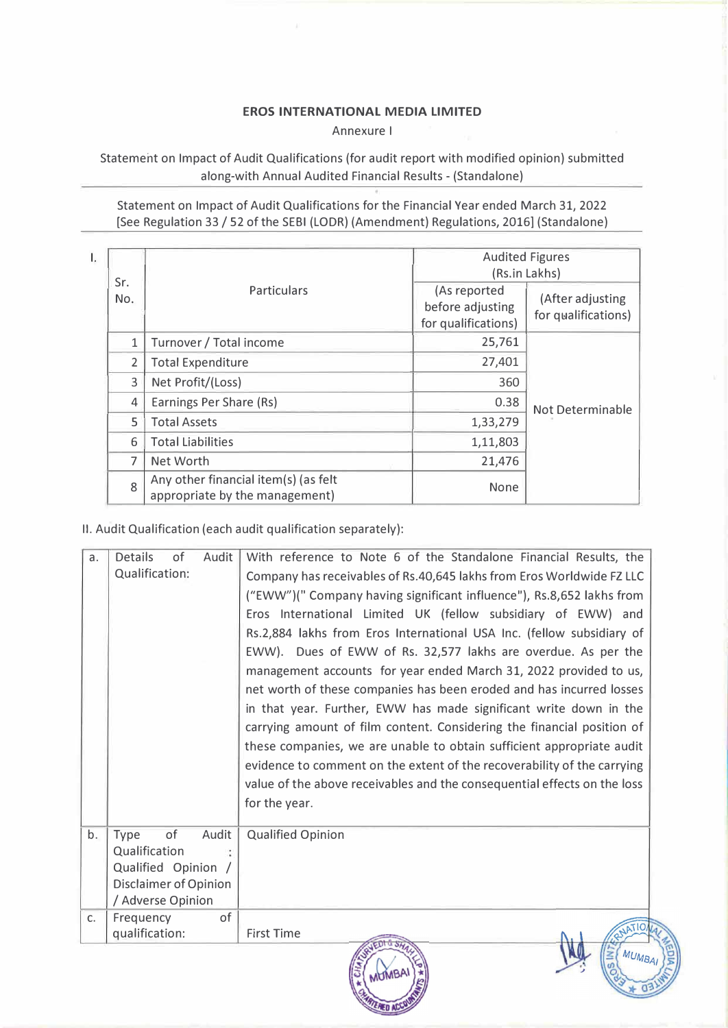## **EROS INTERNATIONAL MEDIA LIMITED**

Annexure I

# Statement on Impact of Audit Qualifications (for audit report with modified opinion) submitted along-with Annual Audited Financial Results - (Standalone)

Statement on Impact of Audit Qualifications for the Financial Year ended March 31, 2022 [See Regulation 33 / 52 of the SEBI (LODR) (Amendment) Regulations, 2016] (Standalone)

|                |                                                                        | <b>Audited Figures</b><br>(Rs.in Lakhs)                 |                                         |  |
|----------------|------------------------------------------------------------------------|---------------------------------------------------------|-----------------------------------------|--|
| Sr.<br>No.     | <b>Particulars</b>                                                     | (As reported<br>before adjusting<br>for qualifications) | (After adjusting<br>for qualifications) |  |
| 1              | Turnover / Total income                                                | 25,761                                                  |                                         |  |
| $\overline{2}$ | <b>Total Expenditure</b>                                               | 27,401                                                  |                                         |  |
| 3              | Net Profit/(Loss)                                                      | 360                                                     |                                         |  |
| 4              | Earnings Per Share (Rs)                                                | 0.38                                                    | Not Determinable                        |  |
| 5              | <b>Total Assets</b>                                                    | 1,33,279                                                |                                         |  |
| 6              | <b>Total Liabilities</b>                                               | 1,11,803                                                |                                         |  |
| 7              | Net Worth                                                              | 21,476                                                  |                                         |  |
| 8              | Any other financial item(s) (as felt<br>appropriate by the management) | <b>None</b>                                             |                                         |  |

II. Audit Qualification (each audit qualification separately):

| a. | Audit<br><b>Details</b><br>of        | With reference to Note 6 of the Standalone Financial Results, the        |
|----|--------------------------------------|--------------------------------------------------------------------------|
|    | Qualification:                       | Company has receivables of Rs.40,645 lakhs from Eros Worldwide FZ LLC    |
|    |                                      | ("EWW")(" Company having significant influence"), Rs.8,652 lakhs from    |
|    |                                      | Eros International Limited UK (fellow subsidiary of EWW) and             |
|    |                                      | Rs.2,884 lakhs from Eros International USA Inc. (fellow subsidiary of    |
|    |                                      | EWW). Dues of EWW of Rs. 32,577 lakhs are overdue. As per the            |
|    |                                      | management accounts for year ended March 31, 2022 provided to us,        |
|    |                                      | net worth of these companies has been eroded and has incurred losses     |
|    |                                      | in that year. Further, EWW has made significant write down in the        |
|    |                                      | carrying amount of film content. Considering the financial position of   |
|    |                                      | these companies, we are unable to obtain sufficient appropriate audit    |
|    |                                      | evidence to comment on the extent of the recoverability of the carrying  |
|    |                                      | value of the above receivables and the consequential effects on the loss |
|    |                                      | for the year.                                                            |
|    |                                      |                                                                          |
| b. | of<br>Audit<br>Type                  | <b>Qualified Opinion</b>                                                 |
|    | Qualification<br>Qualified Opinion / |                                                                          |
|    | <b>Disclaimer of Opinion</b>         |                                                                          |
|    | / Adverse Opinion                    |                                                                          |
| C. | of<br>Frequency                      |                                                                          |
|    | qualification:                       | <b>First Time</b>                                                        |
|    |                                      |                                                                          |